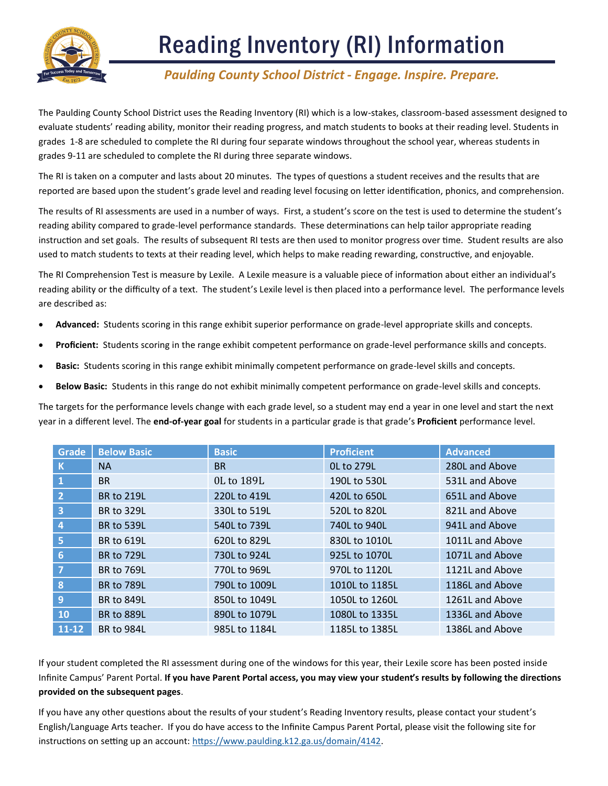

### *Paulding County School District - Engage. Inspire. Prepare.*

The Paulding County School District uses the Reading Inventory (RI) which is a low-stakes, classroom-based assessment designed to evaluate students' reading ability, monitor their reading progress, and match students to books at their reading level. Students in grades 1-8 are scheduled to complete the RI during four separate windows throughout the school year, whereas students in grades 9-11 are scheduled to complete the RI during three separate windows.

The RI is taken on a computer and lasts about 20 minutes. The types of questions a student receives and the results that are reported are based upon the student's grade level and reading level focusing on letter identification, phonics, and comprehension.

The results of RI assessments are used in a number of ways. First, a student's score on the test is used to determine the student's reading ability compared to grade-level performance standards. These determinations can help tailor appropriate reading instruction and set goals. The results of subsequent RI tests are then used to monitor progress over time. Student results are also used to match students to texts at their reading level, which helps to make reading rewarding, constructive, and enjoyable.

The RI Comprehension Test is measure by Lexile. A Lexile measure is a valuable piece of information about either an individual's reading ability or the difficulty of a text. The student's Lexile level is then placed into a performance level. The performance levels are described as:

- **Advanced:** Students scoring in this range exhibit superior performance on grade-level appropriate skills and concepts.
- **Proficient:** Students scoring in the range exhibit competent performance on grade-level performance skills and concepts.
- **Basic:** Students scoring in this range exhibit minimally competent performance on grade-level skills and concepts.
- **Below Basic:** Students in this range do not exhibit minimally competent performance on grade-level skills and concepts.

The targets for the performance levels change with each grade level, so a student may end a year in one level and start the next year in a different level. The **end-of-year goal** for students in a particular grade is that grade's **Proficient** performance level.

| Grade                   | <b>Below Basic</b> | <b>Basic</b>  | <b>Proficient</b> | <b>Advanced</b> |
|-------------------------|--------------------|---------------|-------------------|-----------------|
| $\mathbf k$             | <b>NA</b>          | <b>BR</b>     | <b>OL to 279L</b> | 280L and Above  |
| $\mathbf{1}$            | <b>BR</b>          | 0L to 189L    | 190L to 530L      | 531L and Above  |
| $\overline{2}$          | <b>BR to 219L</b>  | 220L to 419L  | 420L to 650L      | 651L and Above  |
| $\overline{\mathbf{3}}$ | <b>BR to 329L</b>  | 330L to 519L  | 520L to 820L      | 821L and Above  |
| 4                       | <b>BR to 539L</b>  | 540L to 739L  | 740L to 940L      | 941L and Above  |
| 5                       | <b>BR to 619L</b>  | 620L to 829L  | 830L to 1010L     | 1011L and Above |
| 6                       | <b>BR to 729L</b>  | 730L to 924L  | 925L to 1070L     | 1071L and Above |
| $\overline{7}$          | <b>BR to 769L</b>  | 770L to 969L  | 970L to 1120L     | 1121L and Above |
| 8                       | <b>BR to 789L</b>  | 790L to 1009L | 1010L to 1185L    | 1186L and Above |
| 9                       | <b>BR to 849L</b>  | 850L to 1049L | 1050L to 1260L    | 1261L and Above |
| <b>10</b>               | <b>BR to 889L</b>  | 890L to 1079L | 1080L to 1335L    | 1336L and Above |
| $11 - 12$               | <b>BR to 984L</b>  | 985L to 1184L | 1185L to 1385L    | 1386L and Above |

If your student completed the RI assessment during one of the windows for this year, their Lexile score has been posted inside Infinite Campus' Parent Portal. **If you have Parent Portal access, you may view your student's results by following the directions provided on the subsequent pages**.

If you have any other questions about the results of your student's Reading Inventory results, please contact your student's English/Language Arts teacher. If you do have access to the Infinite Campus Parent Portal, please visit the following site for instructions on setting up an account: [https://www.paulding.k12.ga.us/domain/4142.](https://www.paulding.k12.ga.us/domain/4142)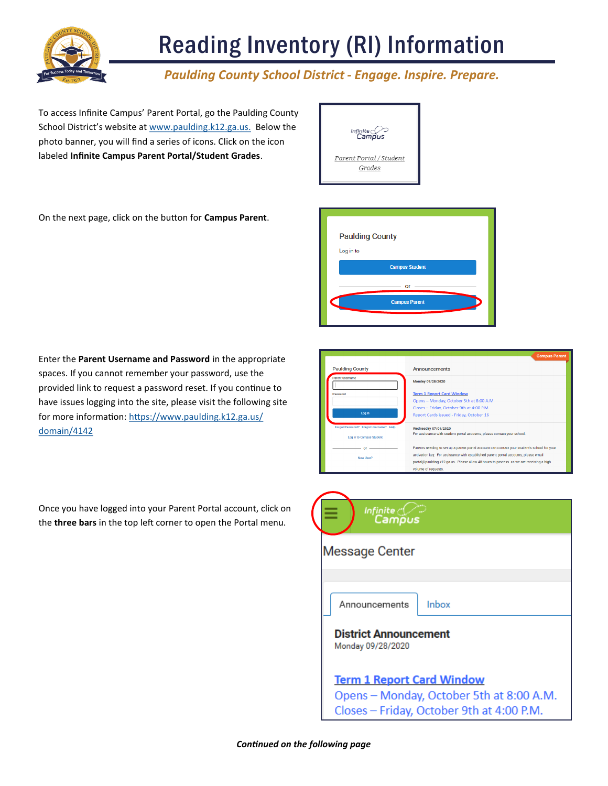

### *Paulding County School District - Engage. Inspire. Prepare.*

To access Infinite Campus' Parent Portal, go the Paulding County School District's website at [www.paulding.k12.ga.us.](https://www.paulding.k12.ga.us/site/default.aspx?PageID=1) Below the photo banner, you will find a series of icons. Click on the icon labeled **Infinite Campus Parent Portal/Student Grades**.



On the next page, click on the button for **Campus Parent**.



Enter the **Parent Username and Password** in the appropriate spaces. If you cannot remember your password, use the provided link to request a password reset. If you continue to have issues logging into the site, please visit the following site for more information: [https://www.paulding.k12.ga.us/](https://www.paulding.k12.ga.us/domain/4142) [domain/4142](https://www.paulding.k12.ga.us/domain/4142)

Once you have logged into your Parent Portal account, click on the **three bars** in the top left corner to open the Portal menu.

|                                        | <b>Campus Parent</b>                                                                         |
|----------------------------------------|----------------------------------------------------------------------------------------------|
| <b>Paulding County</b>                 | <b>Announcements</b>                                                                         |
| Parent Username                        | Monday 09/28/2020                                                                            |
| Password                               | <b>Term 1 Report Card Window</b>                                                             |
|                                        | Opens - Monday, October 5th at 8:00 A.M.                                                     |
|                                        | Closes - Friday, October 9th at 4:00 P.M.                                                    |
| Log In                                 | Report Cards issued - Friday, October 16                                                     |
| Forgot Password? Forgot Username? Help | Wednesday 07/01/2020                                                                         |
| Log in to Campus Student               | For assistance with student portal accounts, please contact your school.                     |
|                                        | Parents needing to set up a parent portal account can contact your student's school for your |
| New User?                              | activation key. For assistance with established parent portal accounts, please email         |
|                                        | portal@paulding.k12.ga.us. Please allow 48 hours to process as we are receiving a high       |
|                                        | volume of requests.                                                                          |

| Infinite <sub>C</sub> (<br>Campus                                                                                         |
|---------------------------------------------------------------------------------------------------------------------------|
| <b>Message Center</b>                                                                                                     |
| Inbox<br>Announcements                                                                                                    |
| <b>District Announcement</b><br>Monday 09/28/2020                                                                         |
| <b>Term 1 Report Card Window</b><br>Opens - Monday, October 5th at 8:00 A.M.<br>Closes - Friday, October 9th at 4:00 P.M. |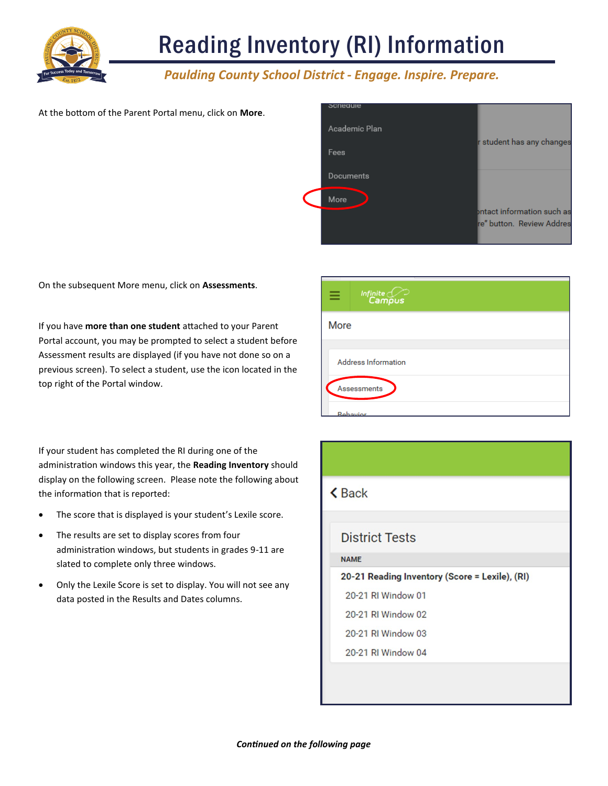

### *Paulding County School District - Engage. Inspire. Prepare.*

#### At the bottom of the Parent Portal menu, click on **More**.

| acnegule      |                            |
|---------------|----------------------------|
| Academic Plan |                            |
| Fees          | r student has any changes  |
| Documents     |                            |
| More          |                            |
|               | ontact information such as |
|               | re" button. Review Addres  |

On the subsequent More menu, click on **Assessments**.

If you have **more than one student** attached to your Parent Portal account, you may be prompted to select a student before Assessment results are displayed (if you have not done so on a previous screen). To select a student, use the icon located in the top right of the Portal window.

|      | Infinite Co                |
|------|----------------------------|
| More |                            |
|      | <b>Address Information</b> |
|      | Assessments                |
|      | Rehavior                   |

If your student has completed the RI during one of the administration windows this year, the **Reading Inventory** should display on the following screen. Please note the following about the information that is reported:

- The score that is displayed is your student's Lexile score.
- The results are set to display scores from four administration windows, but students in grades 9-11 are slated to complete only three windows.
- Only the Lexile Score is set to display. You will not see any data posted in the Results and Dates columns.

| <b><back< b=""></back<></b>                    |  |  |
|------------------------------------------------|--|--|
|                                                |  |  |
| <b>District Tests</b>                          |  |  |
| <b>NAME</b>                                    |  |  |
| 20-21 Reading Inventory (Score = Lexile), (RI) |  |  |
| 20-21 RI Window 01                             |  |  |
| 20-21 RI Window 02                             |  |  |
| 20-21 RI Window 03                             |  |  |
| 20-21 RI Window 04                             |  |  |
|                                                |  |  |
|                                                |  |  |